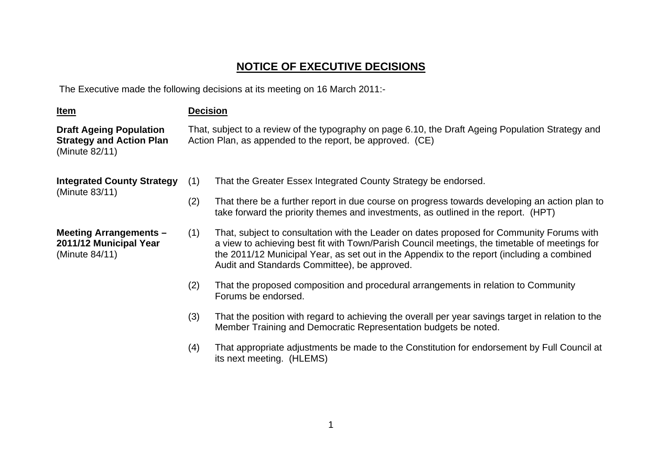## **NOTICE OF EXECUTIVE DECISIONS**

The Executive made the following decisions at its meeting on 16 March 2011:-

| <u>Item</u>                                                                         | <b>Decision</b>                                                                                                                                                 |                                                                                                                                                                                                                                                                                                                                          |
|-------------------------------------------------------------------------------------|-----------------------------------------------------------------------------------------------------------------------------------------------------------------|------------------------------------------------------------------------------------------------------------------------------------------------------------------------------------------------------------------------------------------------------------------------------------------------------------------------------------------|
| <b>Draft Ageing Population</b><br><b>Strategy and Action Plan</b><br>(Minute 82/11) | That, subject to a review of the typography on page 6.10, the Draft Ageing Population Strategy and<br>Action Plan, as appended to the report, be approved. (CE) |                                                                                                                                                                                                                                                                                                                                          |
| <b>Integrated County Strategy</b><br>(Minute 83/11)                                 | (1)                                                                                                                                                             | That the Greater Essex Integrated County Strategy be endorsed.                                                                                                                                                                                                                                                                           |
|                                                                                     | (2)                                                                                                                                                             | That there be a further report in due course on progress towards developing an action plan to<br>take forward the priority themes and investments, as outlined in the report. (HPT)                                                                                                                                                      |
| <b>Meeting Arrangements -</b><br>2011/12 Municipal Year<br>(Minute 84/11)           | (1)                                                                                                                                                             | That, subject to consultation with the Leader on dates proposed for Community Forums with<br>a view to achieving best fit with Town/Parish Council meetings, the timetable of meetings for<br>the 2011/12 Municipal Year, as set out in the Appendix to the report (including a combined<br>Audit and Standards Committee), be approved. |
|                                                                                     | (2)                                                                                                                                                             | That the proposed composition and procedural arrangements in relation to Community<br>Forums be endorsed.                                                                                                                                                                                                                                |
|                                                                                     | (3)                                                                                                                                                             | That the position with regard to achieving the overall per year savings target in relation to the<br>Member Training and Democratic Representation budgets be noted.                                                                                                                                                                     |
|                                                                                     | (4)                                                                                                                                                             | That appropriate adjustments be made to the Constitution for endorsement by Full Council at<br>its next meeting. (HLEMS)                                                                                                                                                                                                                 |